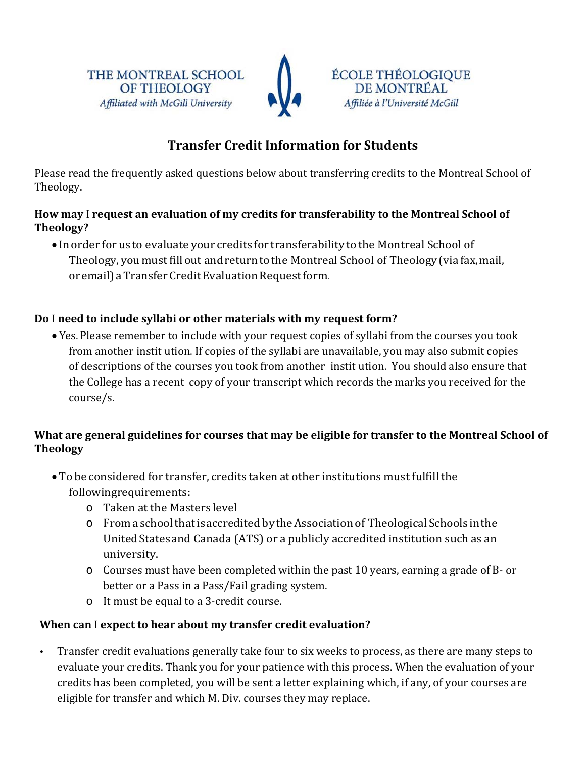



## **Transfer Credit Information for Students**

Please read the frequently asked questions below about transferring credits to the Montreal School of Theology. 

#### **How may** I **request an evaluation of my credits for transferability to the Montreal School of Theology?**

• In order for us to evaluate your credits for transferability to the Montreal School of Theology, you must fill out and return to the Montreal School of Theology (via fax, mail, or email) a Transfer Credit Evaluation Request form.

### **Do** I **need to include syllabi or other materials with my request form?**

• Yes. Please remember to include with your request copies of syllabi from the courses you took from another instit ution. If copies of the syllabi are unavailable, you may also submit copies of descriptions of the courses you took from another instit ution. You should also ensure that the College has a recent copy of your transcript which records the marks you received for the course/s.

#### **What are general guidelines for courses that may be eligible for transfer to the Montreal School of Theology**

- To be considered for transfer, credits taken at other institutions must fulfill the followingrequirements:
	- $\circ$  Taken at the Masters level
	- $\circ$  From a school that is accredited by the Association of Theological Schools in the United States and Canada (ATS) or a publicly accredited institution such as an university.
	- $\circ$  Courses must have been completed within the past 10 years, earning a grade of B- or better or a Pass in a Pass/Fail grading system.
	- $\circ$  It must be equal to a 3-credit course.

#### **When can** I **expect to hear about my transfer credit evaluation?**

• Transfer credit evaluations generally take four to six weeks to process, as there are many steps to evaluate your credits. Thank you for your patience with this process. When the evaluation of your credits has been completed, you will be sent a letter explaining which, if any, of your courses are eligible for transfer and which M. Div. courses they may replace.